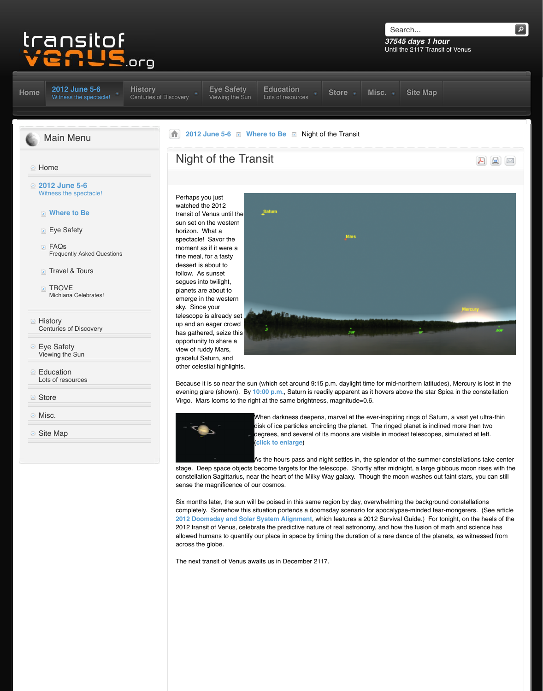- $\mathbf{r}$  Travel  $\alpha$  Tours
- **TROVE** Michiana Celebrates!
- **E** History Centuries of Discovery
- **Eye Safety** Vi[ewing the Sun](http://www.transitofvenus.org/june2012)
- **[Ed](http://www.transitofvenus.org/)ucation** Lots of resources
- **Store**
- **Misc.**
- **D** [Site Map](http://www.transitofvenus.org/)

follow. As sunset segues into twilight, planets are about to emerge in the western sky. Since your telescope is already set up and an eager crowd has gathered, seize this opportunity to share a view of ruddy Mars, [graceful S](http://www.transitofvenus.org/history)aturn, and other cel[estial highlights.](http://www.transitofvenus.org/june2012/eye-safety) 



Because it is so near the sun (which set around 9:15 evening glare (shown). By 10:00 p.m., Saturn is rea [V](http://www.transitofvenus.org/)[irgo. Mars looms to](http://www.transitofvenus.org/june2012) t[he right at the sam](http://www.transitofvenus.org/june2012/where-to-be)e brightnes



When darkness deepens disk of ice particles encire degrees, and several of i (**click to enlarge**)

As the hours pass and ni

stage. Deep space objects become targets for the te constellation Sagittarius, near the heart of the Milky V sense the magnificence of our cosmos.

Six months later, the sun will be poised in this same in completely. Somehow this situation portends a doon **2012 Doomsday and Solar System Alignment, which and allege a 2012 Survival Guide.** 2012 transit of Venus, celebrate the predictive nature allowed humans to quantify our place in space by time across the globe.

The next transit of Venus awaits us in December 2117.